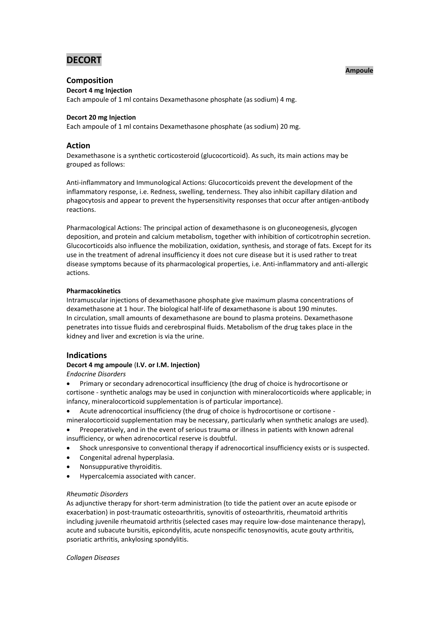# **DECORT**

### **Ampoule**

# **Composition**

**Decort 4 mg Injection**

Each ampoule of 1 ml contains Dexamethasone phosphate (as sodium) 4 mg.

### **Decort 20 mg Injection**

Each ampoule of 1 ml contains Dexamethasone phosphate (as sodium) 20 mg.

# **Action**

Dexamethasone is a synthetic corticosteroid (glucocorticoid). As such, its main actions may be grouped as follows:

Anti-inflammatory and Immunological Actions: Glucocorticoids prevent the development of the inflammatory response, i.e. Redness, swelling, tenderness. They also inhibit capillary dilation and phagocytosis and appear to prevent the hypersensitivity responses that occur after antigen-antibody reactions.

Pharmacological Actions: The principal action of dexamethasone is on gluconeogenesis, glycogen deposition, and protein and calcium metabolism, together with inhibition of corticotrophin secretion. Glucocorticoids also influence the mobilization, oxidation, synthesis, and storage of fats. Except for its use in the treatment of adrenal insufficiency it does not cure disease but it is used rather to treat disease symptoms because of its pharmacological properties, i.e. Anti-inflammatory and anti-allergic actions.

### **Pharmacokinetics**

Intramuscular injections of dexamethasone phosphate give maximum plasma concentrations of dexamethasone at 1 hour. The biological half-life of dexamethasone is about 190 minutes. In circulation, small amounts of dexamethasone are bound to plasma proteins. Dexamethasone penetrates into tissue fluids and cerebrospinal fluids. Metabolism of the drug takes place in the kidney and liver and excretion is via the urine.

# **Indications**

### **Decort 4 mg ampoule** (**I.V. or I.M. Injection)**

*Endocrine Disorders*

 Primary or secondary adrenocortical insufficiency (the drug of choice is hydrocortisone or cortisone - synthetic analogs may be used in conjunction with mineralocorticoids where applicable; in infancy, mineralocorticoid supplementation is of particular importance).

- Acute adrenocortical insufficiency (the drug of choice is hydrocortisone or cortisone mineralocorticoid supplementation may be necessary, particularly when synthetic analogs are used).
- Preoperatively, and in the event of serious trauma or illness in patients with known adrenal insufficiency, or when adrenocortical reserve is doubtful.
- Shock unresponsive to conventional therapy if adrenocortical insufficiency exists or is suspected.
- Congenital adrenal hyperplasia.
- Nonsuppurative thyroiditis.
- Hypercalcemia associated with cancer.

### *Rheumatic Disorders*

As adjunctive therapy for short-term administration (to tide the patient over an acute episode or exacerbation) in post-traumatic osteoarthritis, synovitis of osteoarthritis, rheumatoid arthritis including juvenile rheumatoid arthritis (selected cases may require low-dose maintenance therapy), acute and subacute bursitis, epicondylitis, acute nonspecific tenosynovitis, acute gouty arthritis, psoriatic arthritis, ankylosing spondylitis.

### *Collagen Diseases*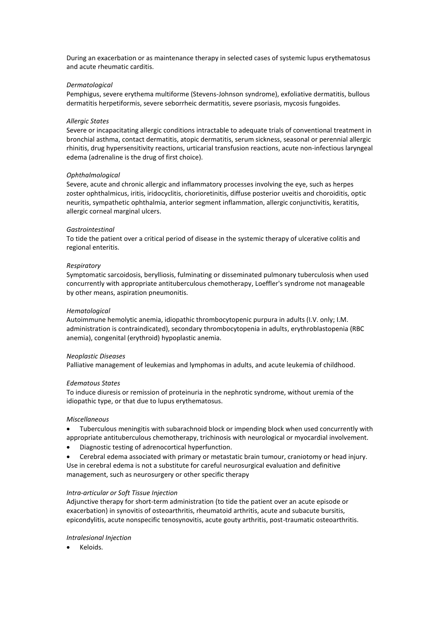During an exacerbation or as maintenance therapy in selected cases of systemic lupus erythematosus and acute rheumatic carditis.

#### *Dermatological*

Pemphigus, severe erythema multiforme (Stevens-Johnson syndrome), exfoliative dermatitis, bullous dermatitis herpetiformis, severe seborrheic dermatitis, severe psoriasis, mycosis fungoides.

#### *Allergic States*

Severe or incapacitating allergic conditions intractable to adequate trials of conventional treatment in bronchial asthma, contact dermatitis, atopic dermatitis, serum sickness, seasonal or perennial allergic rhinitis, drug hypersensitivity reactions, urticarial transfusion reactions, acute non-infectious laryngeal edema (adrenaline is the drug of first choice).

#### *Ophthalmological*

Severe, acute and chronic allergic and inflammatory processes involving the eye, such as herpes zoster ophthalmicus, iritis, iridocyclitis, chorioretinitis, diffuse posterior uveitis and choroiditis, optic neuritis, sympathetic ophthalmia, anterior segment inflammation, allergic conjunctivitis, keratitis, allergic corneal marginal ulcers.

#### *Gastrointestinal*

To tide the patient over a critical period of disease in the systemic therapy of ulcerative colitis and regional enteritis.

#### *Respiratory*

Symptomatic sarcoidosis, berylliosis, fulminating or disseminated pulmonary tuberculosis when used concurrently with appropriate antituberculous chemotherapy, Loeffler's syndrome not manageable by other means, aspiration pneumonitis.

#### *Hematological*

Autoimmune hemolytic anemia, idiopathic thrombocytopenic purpura in adults (I.V. only; I.M. administration is contraindicated), secondary thrombocytopenia in adults, erythroblastopenia (RBC anemia), congenital (erythroid) hypoplastic anemia.

#### *Neoplastic Diseases*

Palliative management of leukemias and lymphomas in adults, and acute leukemia of childhood.

#### *Edematous States*

To induce diuresis or remission of proteinuria in the nephrotic syndrome, without uremia of the idiopathic type, or that due to lupus erythematosus.

#### *Miscellaneous*

- Tuberculous meningitis with subarachnoid block or impending block when used concurrently with appropriate antituberculous chemotherapy, trichinosis with neurological or myocardial involvement.
- Diagnostic testing of adrenocortical hyperfunction.

 Cerebral edema associated with primary or metastatic brain tumour, craniotomy or head injury. Use in cerebral edema is not a substitute for careful neurosurgical evaluation and definitive management, such as neurosurgery or other specific therapy

#### *Intra-articular or Soft Tissue Injection*

Adjunctive therapy for short-term administration (to tide the patient over an acute episode or exacerbation) in synovitis of osteoarthritis, rheumatoid arthritis, acute and subacute bursitis, epicondylitis, acute nonspecific tenosynovitis, acute gouty arthritis, post-traumatic osteoarthritis.

#### *Intralesional Injection*

Keloids.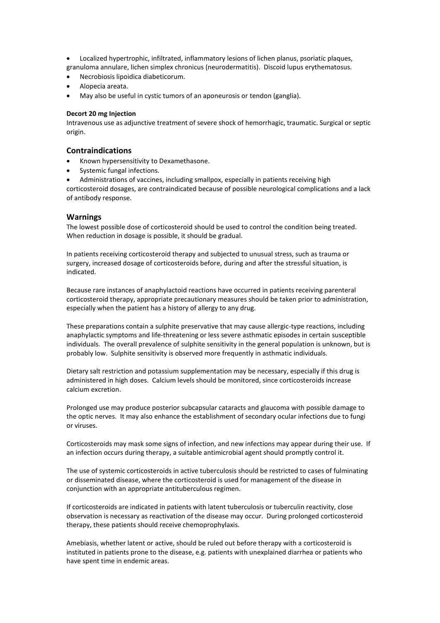Localized hypertrophic, infiltrated, inflammatory lesions of lichen planus, psoriatic plaques, granuloma annulare, lichen simplex chronicus (neurodermatitis). Discoid lupus erythematosus.

- Necrobiosis lipoidica diabeticorum.
- Alopecia areata.
- May also be useful in cystic tumors of an aponeurosis or tendon (ganglia).

### **Decort 20 mg Injection**

Intravenous use as adjunctive treatment of severe shock of hemorrhagic, traumatic. Surgical or septic origin.

# **Contraindications**

- Known hypersensitivity to Dexamethasone.
- Systemic fungal infections.

Administrations of vaccines, including smallpox, especially in patients receiving high

corticosteroid dosages, are contraindicated because of possible neurological complications and a lack of antibody response.

### **Warnings**

The lowest possible dose of corticosteroid should be used to control the condition being treated. When reduction in dosage is possible, it should be gradual.

In patients receiving corticosteroid therapy and subjected to unusual stress, such as trauma or surgery, increased dosage of corticosteroids before, during and after the stressful situation, is indicated.

Because rare instances of anaphylactoid reactions have occurred in patients receiving parenteral corticosteroid therapy, appropriate precautionary measures should be taken prior to administration, especially when the patient has a history of allergy to any drug.

These preparations contain a sulphite preservative that may cause allergic-type reactions, including anaphylactic symptoms and life-threatening or less severe asthmatic episodes in certain susceptible individuals. The overall prevalence of sulphite sensitivity in the general population is unknown, but is probably low. Sulphite sensitivity is observed more frequently in asthmatic individuals.

Dietary salt restriction and potassium supplementation may be necessary, especially if this drug is administered in high doses. Calcium levels should be monitored, since corticosteroids increase calcium excretion.

Prolonged use may produce posterior subcapsular cataracts and glaucoma with possible damage to the optic nerves. It may also enhance the establishment of secondary ocular infections due to fungi or viruses.

Corticosteroids may mask some signs of infection, and new infections may appear during their use. If an infection occurs during therapy, a suitable antimicrobial agent should promptly control it.

The use of systemic corticosteroids in active tuberculosis should be restricted to cases of fulminating or disseminated disease, where the corticosteroid is used for management of the disease in conjunction with an appropriate antituberculous regimen.

If corticosteroids are indicated in patients with latent tuberculosis or tuberculin reactivity, close observation is necessary as reactivation of the disease may occur. During prolonged corticosteroid therapy, these patients should receive chemoprophylaxis.

Amebiasis, whether latent or active, should be ruled out before therapy with a corticosteroid is instituted in patients prone to the disease, e.g. patients with unexplained diarrhea or patients who have spent time in endemic areas.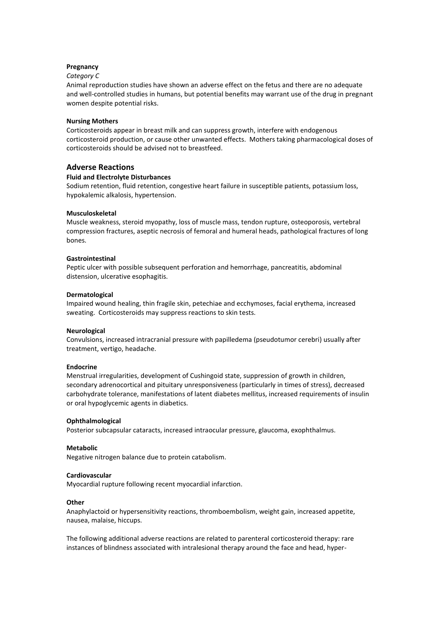### **Pregnancy**

### *Category C*

Animal reproduction studies have shown an adverse effect on the fetus and there are no adequate and well-controlled studies in humans, but potential benefits may warrant use of the drug in pregnant women despite potential risks.

#### **Nursing Mothers**

Corticosteroids appear in breast milk and can suppress growth, interfere with endogenous corticosteroid production, or cause other unwanted effects. Mothers taking pharmacological doses of corticosteroids should be advised not to breastfeed.

### **Adverse Reactions**

### **Fluid and Electrolyte Disturbances**

Sodium retention, fluid retention, congestive heart failure in susceptible patients, potassium loss, hypokalemic alkalosis, hypertension.

### **Musculoskeletal**

Muscle weakness, steroid myopathy, loss of muscle mass, tendon rupture, osteoporosis, vertebral compression fractures, aseptic necrosis of femoral and humeral heads, pathological fractures of long bones.

### **Gastrointestinal**

Peptic ulcer with possible subsequent perforation and hemorrhage, pancreatitis, abdominal distension, ulcerative esophagitis.

### **Dermatological**

Impaired wound healing, thin fragile skin, petechiae and ecchymoses, facial erythema, increased sweating. Corticosteroids may suppress reactions to skin tests.

#### **Neurological**

Convulsions, increased intracranial pressure with papilledema (pseudotumor cerebri) usually after treatment, vertigo, headache.

#### **Endocrine**

Menstrual irregularities, development of Cushingoid state, suppression of growth in children, secondary adrenocortical and pituitary unresponsiveness (particularly in times of stress), decreased carbohydrate tolerance, manifestations of latent diabetes mellitus, increased requirements of insulin or oral hypoglycemic agents in diabetics.

#### **Ophthalmological**

Posterior subcapsular cataracts, increased intraocular pressure, glaucoma, exophthalmus.

#### **Metabolic**

Negative nitrogen balance due to protein catabolism.

#### **Cardiovascular**

Myocardial rupture following recent myocardial infarction.

#### **Other**

Anaphylactoid or hypersensitivity reactions, thromboembolism, weight gain, increased appetite, nausea, malaise, hiccups.

The following additional adverse reactions are related to parenteral corticosteroid therapy: rare instances of blindness associated with intralesional therapy around the face and head, hyper-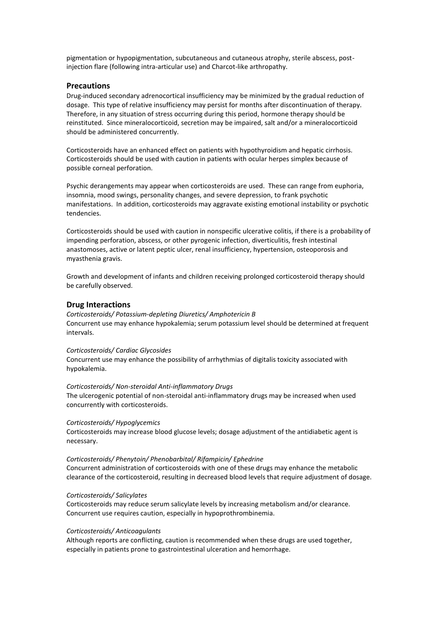pigmentation or hypopigmentation, subcutaneous and cutaneous atrophy, sterile abscess, postinjection flare (following intra-articular use) and Charcot-like arthropathy.

### **Precautions**

Drug-induced secondary adrenocortical insufficiency may be minimized by the gradual reduction of dosage. This type of relative insufficiency may persist for months after discontinuation of therapy. Therefore, in any situation of stress occurring during this period, hormone therapy should be reinstituted. Since mineralocorticoid, secretion may be impaired, salt and/or a mineralocorticoid should be administered concurrently.

Corticosteroids have an enhanced effect on patients with hypothyroidism and hepatic cirrhosis. Corticosteroids should be used with caution in patients with ocular herpes simplex because of possible corneal perforation.

Psychic derangements may appear when corticosteroids are used. These can range from euphoria, insomnia, mood swings, personality changes, and severe depression, to frank psychotic manifestations. In addition, corticosteroids may aggravate existing emotional instability or psychotic tendencies.

Corticosteroids should be used with caution in nonspecific ulcerative colitis, if there is a probability of impending perforation, abscess, or other pyrogenic infection, diverticulitis, fresh intestinal anastomoses, active or latent peptic ulcer, renal insufficiency, hypertension, osteoporosis and myasthenia gravis.

Growth and development of infants and children receiving prolonged corticosteroid therapy should be carefully observed.

# **Drug Interactions**

*Corticosteroids/ Potassium-depleting Diuretics/ Amphotericin B* Concurrent use may enhance hypokalemia; serum potassium level should be determined at frequent intervals.

#### *Corticosteroids/ Cardiac Glycosides*

Concurrent use may enhance the possibility of arrhythmias of digitalis toxicity associated with hypokalemia.

#### *Corticosteroids/ Non-steroidal Anti-inflammatory Drugs*

The ulcerogenic potential of non-steroidal anti-inflammatory drugs may be increased when used concurrently with corticosteroids.

#### *Corticosteroids/ Hypoglycemics*

Corticosteroids may increase blood glucose levels; dosage adjustment of the antidiabetic agent is necessary.

#### *Corticosteroids/ Phenytoin/ Phenobarbital/ Rifampicin/ Ephedrine*

Concurrent administration of corticosteroids with one of these drugs may enhance the metabolic clearance of the corticosteroid, resulting in decreased blood levels that require adjustment of dosage.

#### *Corticosteroids/ Salicylates*

Corticosteroids may reduce serum salicylate levels by increasing metabolism and/or clearance. Concurrent use requires caution, especially in hypoprothrombinemia.

#### *Corticosteroids/ Anticoagulants*

Although reports are conflicting, caution is recommended when these drugs are used together, especially in patients prone to gastrointestinal ulceration and hemorrhage.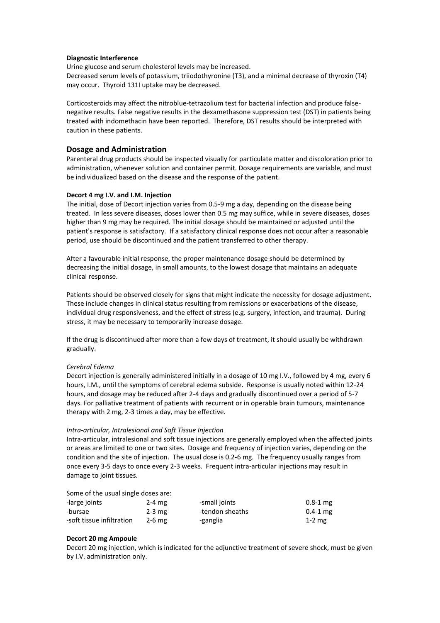### **Diagnostic Interference**

Urine glucose and serum cholesterol levels may be increased. Decreased serum levels of potassium, triiodothyronine (T3), and a minimal decrease of thyroxin (T4) may occur. Thyroid 131I uptake may be decreased.

Corticosteroids may affect the nitroblue-tetrazolium test for bacterial infection and produce falsenegative results. False negative results in the dexamethasone suppression test (DST) in patients being treated with indomethacin have been reported. Therefore, DST results should be interpreted with caution in these patients.

## **Dosage and Administration**

Parenteral drug products should be inspected visually for particulate matter and discoloration prior to administration, whenever solution and container permit. Dosage requirements are variable, and must be individualized based on the disease and the response of the patient.

### **Decort 4 mg I.V. and I.M. Injection**

The initial, dose of Decort injection varies from 0.5-9 mg a day, depending on the disease being treated. In less severe diseases, doses lower than 0.5 mg may suffice, while in severe diseases, doses higher than 9 mg may be required. The initial dosage should be maintained or adjusted until the patient's response is satisfactory. If a satisfactory clinical response does not occur after a reasonable period, use should be discontinued and the patient transferred to other therapy.

After a favourable initial response, the proper maintenance dosage should be determined by decreasing the initial dosage, in small amounts, to the lowest dosage that maintains an adequate clinical response.

Patients should be observed closely for signs that might indicate the necessity for dosage adjustment. These include changes in clinical status resulting from remissions or exacerbations of the disease, individual drug responsiveness, and the effect of stress (e.g. surgery, infection, and trauma). During stress, it may be necessary to temporarily increase dosage.

If the drug is discontinued after more than a few days of treatment, it should usually be withdrawn gradually.

#### *Cerebral Edema*

Decort injection is generally administered initially in a dosage of 10 mg I.V., followed by 4 mg, every 6 hours, I.M., until the symptoms of cerebral edema subside. Response is usually noted within 12-24 hours, and dosage may be reduced after 2-4 days and gradually discontinued over a period of 5-7 days. For palliative treatment of patients with recurrent or in operable brain tumours, maintenance therapy with 2 mg, 2-3 times a day, may be effective.

#### *Intra-articular, Intralesional and Soft Tissue Injection*

Intra-articular, intralesional and soft tissue injections are generally employed when the affected joints or areas are limited to one or two sites. Dosage and frequency of injection varies, depending on the condition and the site of injection. The usual dose is 0.2-6 mg. The frequency usually ranges from once every 3-5 days to once every 2-3 weeks. Frequent intra-articular injections may result in damage to joint tissues.

# Some of the usual single doses are:

| -large joints             | $2-4$ mg | -small joints   | $0.8 - 1$ mg |
|---------------------------|----------|-----------------|--------------|
| -bursae                   | $2-3$ mg | -tendon sheaths | $0.4 - 1$ mg |
| -soft tissue infiltration | $2-6$ mg | -ganglia        | $1-2$ mg     |

#### **Decort 20 mg Ampoule**

Decort 20 mg injection, which is indicated for the adjunctive treatment of severe shock, must be given by I.V. administration only.